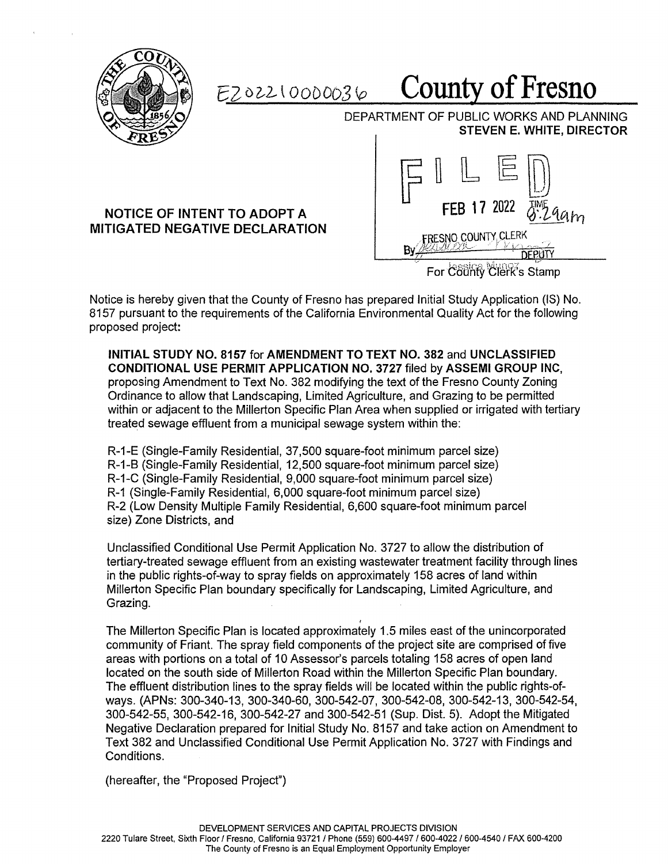

*EZ oi2-* \ *000003* <sup>0</sup>**County of Fresno** 

DEPARTMENT OF PUBLIC WORKS AND PLANNING **STEVEN E. WHITE, DIRECTOR** 

## **NOTICE OF INTENT TO ADOPT A MITIGATED NEGATIVE DECLARATION**



Notice is hereby given that the County of Fresno has prepared Initial Study Application (IS) No. 8157 pursuant to the requirements of the California Environmental Quality Act for the following proposed project:

**INITIAL STUDY NO. 8157** for **AMENDMENT TO TEXT NO. 382** and **UNCLASSIFIED CONDITIONAL USE PERMIT APPLICATION NO. 3727** filed by **ASSEMI GROUP INC,**  proposing Amendment to Text No. 382 modifying the text of the Fresno County Zoning Ordinance to allow that Landscaping, Limited Agriculture, and Grazing to be permitted within or adjacent to the Millerton Specific Plan Area when supplied or irrigated with tertiary treated sewage effluent from a municipal sewage system within the:

R-1-E (Single-Family Residential, 37,500 square-foot minimum parcel size) R-1-8 (Single-Family Residential, 12,500 square-foot minimum parcel size) R-1-C (Single-Family Residential, 9,000 square-foot minimum parcel size) R-1 (Single-Family Residential, 6,000 square-foot minimum parcel size) R-2 (Low Density Multiple Family Residential, 6,600 square-foot minimum parcel size) Zone Districts, and

Unclassified Conditional Use Permit Application No. 3727 to allow the distribution of tertiary-treated sewage effluent from an existing wastewater treatment facility through lines in the public rights-of-way to spray fields on approximately 158 acres of land within Millerton Specific Plan boundary specifically for Landscaping, Limited Agriculture, and Grazing.

I The Millerton Specific Plan is located approximately 1.5 miles east of the unincorporated community of Friant. The spray field components of the project site are comprised of five areas with portions on a total of 10 Assessor's parcels totaling 158 acres of open land located on the south side of Millerton Road within the Millerton Specific Plan boundary. The effluent distribution lines to the spray fields will be located within the public rights-ofways. (APNs: 300-340-13, 300-340-60, 300-542-07, 300-542-08, 300-542-13, 300-542-54, 300-542-55, 300-542-16, 300-542-27 and 300-542-51 (Sup. Dist. 5). Adopt the Mitigated Negative Declaration prepared for Initial Study No. 8157 and take action on Amendment to Text 382 and Unclassified Conditional Use Permit Application No. 3727 with Findings and Conditions.

(hereafter, the "Proposed Project")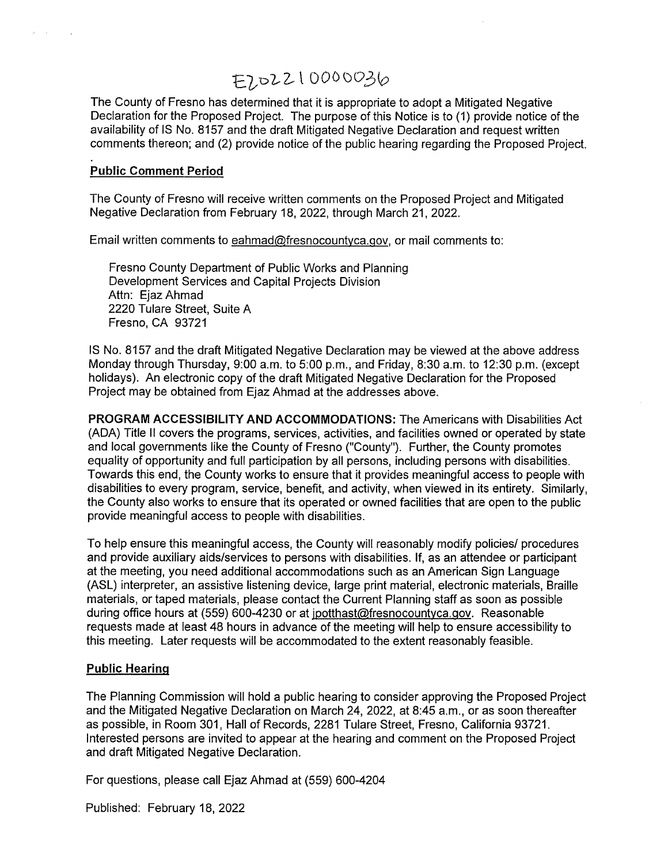## E7,02210000036

The County of Fresno has determined that it is appropriate to adopt a Mitigated Negative Declaration for the Proposed Project. The purpose of this Notice is to (1) provide notice of the availability of IS No. 8157 and the draft Mitigated Negative Declaration and request written comments thereon; and (2) provide notice of the public hearing regarding the Proposed Project.

## **Public Comment Period**

 $\sim$   $\sim$ 

The County of Fresno will receive written comments on the Proposed Project and Mitigated Negative Declaration from February 18, 2022, through March 21, 2022.

Email written comments to eahmad@fresnocountyca.gov, or mail comments to:

Fresno County Department of Public Works and Planning Development Services and Capital Projects Division Attn: Ejaz Ahmad 2220 Tulare Street, Suite A Fresno, CA 93721

IS No. 8157 and the draft Mitigated Negative Declaration may be viewed at the above address Monday through Thursday, 9:00 a.m. to 5:00 p.m., and Friday, 8:30 a.m. to 12:30 p.m. (except holidays). An electronic copy of the draft Mitigated Negative Declaration for the Proposed Project may be obtained from Ejaz Ahmad at the addresses above.

**PROGRAM ACCESSIBILITY AND ACCOMMODATIONS:** The Americans with Disabilities Act (ADA) Title II covers the programs, services, activities, and facilities owned or operated by state and local governments like the County of Fresno ("County"). Further, the County promotes equality of opportunity and full participation by all persons, including persons with disabilities. Towards this end, the County works to ensure that it provides meaningful access to people with disabilities to every program, service, benefit, and activity, when viewed in its entirety. Similarly, the County also works to ensure that its operated or owned facilities that are open to the public provide meaningful access to people with disabilities.

To help ensure this meaningful access, the County will reasonably modify policies/ procedures and provide auxiliary aids/services to persons with disabilities. If, as an attendee or participant at the meeting, you need additional accommodations such as an American Sign Language (ASL) interpreter, an assistive listening device, large print material, electronic materials, Braille materials, or taped materials, please contact the Current Planning staff as soon as possible during office hours at (559) 600-4230 or at jpotthast@fresnocountyca.gov. Reasonable requests made at least 48 hours in advance of the meeting will help to ensure accessibility to this meeting. Later requests will be accommodated to the extent reasonably feasible.

## **Public Hearing**

The Planning Commission will hold a public hearing to consider approving the Proposed Project and the Mitigated Negative Declaration on March 24, 2022, at 8:45 a.m., or as soon thereafter as possible, in Room 301, Hall of Records, 2281 Tulare Street, Fresno, California 93721. Interested persons are invited to appear at the hearing and comment on the Proposed Project and draft Mitigated Negative Declaration.

For questions, please call Ejaz Ahmad at (559) 600-4204

Published: February 18, 2022